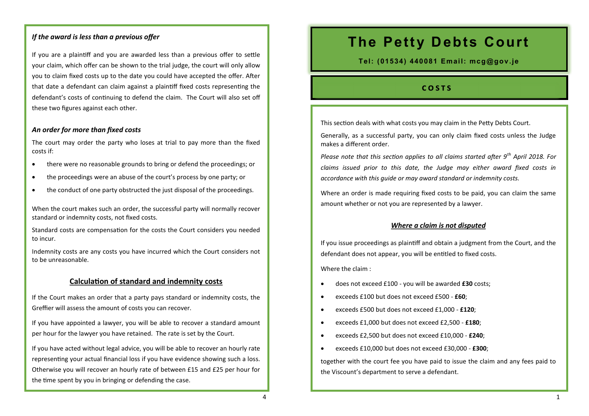#### *If the award is less than a previous offer*

If you are a plaintiff and you are awarded less than a previous offer to settle your claim, which offer can be shown to the trial judge, the court will only allow you to claim fixed costs up to the date you could have accepted the offer. After that date a defendant can claim against a plaintiff fixed costs representing the defendant's costs of continuing to defend the claim. The Court will also set off these two figures against each other.

#### *An order for more than fixed costs*

The court may order the party who loses at trial to pay more than the fixed costs if:

- there were no reasonable grounds to bring or defend the proceedings; or
- the proceedings were an abuse of the court's process by one party; or
- the conduct of one party obstructed the just disposal of the proceedings.

When the court makes such an order, the successful party will normally recover standard or indemnity costs, not fixed costs.

Standard costs are compensation for the costs the Court considers you needed to incur.

Indemnity costs are any costs you have incurred which the Court considers not to be unreasonable.

#### **Calculation of standard and indemnity costs**

If the Court makes an order that a party pays standard or indemnity costs, the Greffier will assess the amount of costs you can recover.

If you have appointed a lawyer, you will be able to recover a standard amount per hour for the lawyer you have retained. The rate is set by the Court.

If you have acted without legal advice, you will be able to recover an hourly rate representing your actual financial loss if you have evidence showing such a loss. Otherwise you will recover an hourly rate of between £15 and £25 per hour for the time spent by you in bringing or defending the case.

# **The Petty Debts Court**

**Tel: (01534) 440081 Email: mcg@gov.je**

#### **c o s t s**

This section deals with what costs you may claim in the Petty Debts Court.

Generally, as a successful party, you can only claim fixed costs unless the Judge makes a different order.

*Please note that this section applies to all claims started after 9th April 2018. For claims issued prior to this date, the Judge may either award fixed costs in accordance with this guide or may award standard or indemnity costs.* 

Where an order is made requiring fixed costs to be paid, you can claim the same amount whether or not you are represented by a lawyer.

#### *Where a claim is not disputed*

If you issue proceedings as plaintiff and obtain a judgment from the Court, and the defendant does not appear, you will be entitled to fixed costs.

Where the claim :

- does not exceed £100 you will be awarded **£30** costs;
- exceeds £100 but does not exceed £500 **£60**;
- exceeds £500 but does not exceed £1,000 **£120**;
- exceeds £1,000 but does not exceed £2,500 **£180**;
- exceeds £2,500 but does not exceed £10,000 **£240**;
- exceeds £10,000 but does not exceed £30,000 **£300**;

together with the court fee you have paid to issue the claim and any fees paid to the Viscount's department to serve a defendant.